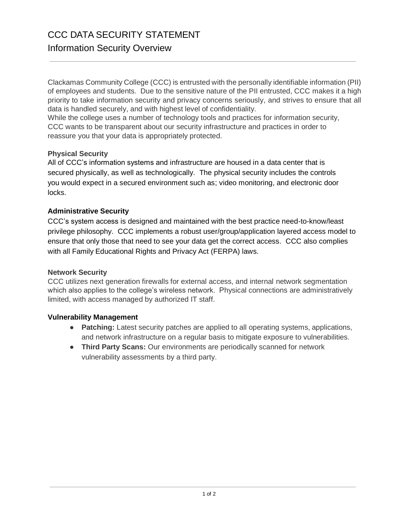## CCC DATA SECURITY STATEMENT Information Security Overview

Clackamas Community College (CCC) is entrusted with the personally identifiable information (PII) of employees and students. Due to the sensitive nature of the PII entrusted, CCC makes it a high priority to take information security and privacy concerns seriously, and strives to ensure that all data is handled securely, and with highest level of confidentiality.

While the college uses a number of technology tools and practices for information security, CCC wants to be transparent about our security infrastructure and practices in order to reassure you that your data is appropriately protected.

## **Physical Security**

All of CCC's information systems and infrastructure are housed in a data center that is secured physically, as well as technologically. The physical security includes the controls you would expect in a secured environment such as; video monitoring, and electronic door locks.

## **Administrative Security**

CCC's system access is designed and maintained with the best practice need-to-know/least privilege philosophy. CCC implements a robust user/group/application layered access model to ensure that only those that need to see your data get the correct access. CCC also complies with all Family Educational Rights and Privacy Act (FERPA) laws.

#### **Network Security**

CCC utilizes next generation firewalls for external access, and internal network segmentation which also applies to the college's wireless network. Physical connections are administratively limited, with access managed by authorized IT staff.

#### **Vulnerability Management**

- **Patching:** Latest security patches are applied to all operating systems, applications, and network infrastructure on a regular basis to mitigate exposure to vulnerabilities.
- **Third Party Scans:** Our environments are periodically scanned for network vulnerability assessments by a third party.